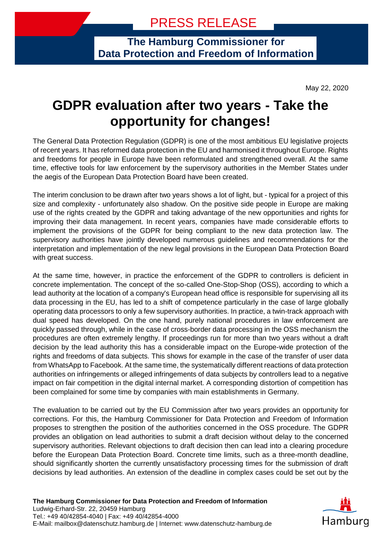**The Hamburg Commissioner for Data Protection and Freedom of Information**

May 22, 2020

## **GDPR evaluation after two years - Take the opportunity for changes!**

The General Data Protection Regulation (GDPR) is one of the most ambitious EU legislative projects of recent years. It has reformed data protection in the EU and harmonised it throughout Europe. Rights and freedoms for people in Europe have been reformulated and strengthened overall. At the same time, effective tools for law enforcement by the supervisory authorities in the Member States under the aegis of the European Data Protection Board have been created.

The interim conclusion to be drawn after two years shows a lot of light, but - typical for a project of this size and complexity - unfortunately also shadow. On the positive side people in Europe are making use of the rights created by the GDPR and taking advantage of the new opportunities and rights for improving their data management. In recent years, companies have made considerable efforts to implement the provisions of the GDPR for being compliant to the new data protection law. The supervisory authorities have jointly developed numerous guidelines and recommendations for the interpretation and implementation of the new legal provisions in the European Data Protection Board with great success.

At the same time, however, in practice the enforcement of the GDPR to controllers is deficient in concrete implementation. The concept of the so-called One-Stop-Shop (OSS), according to which a lead authority at the location of a company's European head office is responsible for supervising all its data processing in the EU, has led to a shift of competence particularly in the case of large globally operating data processors to only a few supervisory authorities. In practice, a twin-track approach with dual speed has developed. On the one hand, purely national procedures in law enforcement are quickly passed through, while in the case of cross-border data processing in the OSS mechanism the procedures are often extremely lengthy. If proceedings run for more than two years without a draft decision by the lead authority this has a considerable impact on the Europe-wide protection of the rights and freedoms of data subjects. This shows for example in the case of the transfer of user data from WhatsApp to Facebook. At the same time, the systematically different reactions of data protection authorities on infringements or alleged infringements of data subjects by controllers lead to a negative impact on fair competition in the digital internal market. A corresponding distortion of competition has been complained for some time by companies with main establishments in Germany.

The evaluation to be carried out by the EU Commission after two years provides an opportunity for corrections. For this, the Hamburg Commissioner for Data Protection and Freedom of Information proposes to strengthen the position of the authorities concerned in the OSS procedure. The GDPR provides an obligation on lead authorities to submit a draft decision without delay to the concerned supervisory authorities. Relevant objections to draft decision then can lead into a clearing procedure before the European Data Protection Board. Concrete time limits, such as a three-month deadline, should significantly shorten the currently unsatisfactory processing times for the submission of draft decisions by lead authorities. An extension of the deadline in complex cases could be set out by the